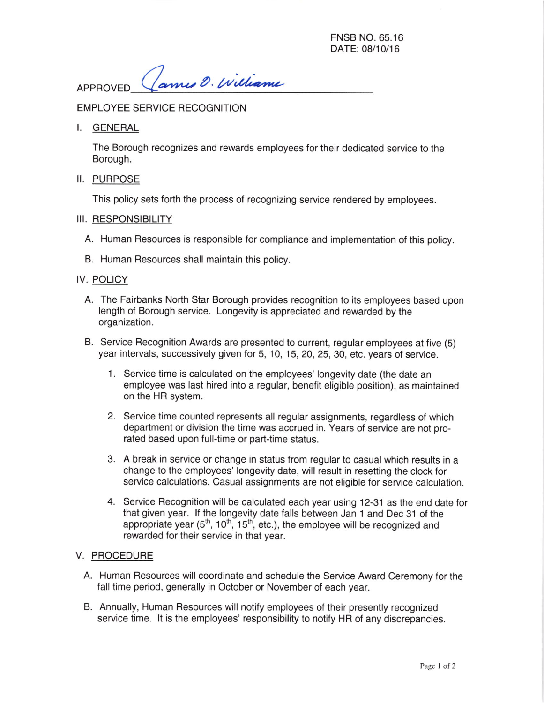FNSB NO.65.16 DATE: 08/10/16

APPROVED (ames O. Williame

EMPLOYEE SERVICE RECOGNITION

I. GENERAL

The Borough recognizes and rewards employees for their dedicated service to the Borough.

II. PURPOSE

This policy sets forth the process of recognizing service rendered by employees.

# III. RESPONSIBILITY

- A. Human Resources is responsible for compliance and implementation of this policy.
- B. Human Resources shall maintain this policy.

# IV, POLICY

- A. The Fairbanks North Star Borough provides recognition to its employees based upon length of Borough service. Longevity is appreciated and rewarded by the organization.
- B. Service Recognition Awards are presented to current, regular employees at five (S) year intervals, successively given for 5, 10, 15, 20,25,30, etc. years of service.
	- 1. Service time is calculated on the employees' longevity date (the date an employee was last hired into a regular, benefit eligible position), as maintained on the HR system.
	- 2. Service time counted represents all regular assignments, regardless of which department or division the time was accrued in. Years of service are not prorated based upon full-time or part-time status.
	- 3. A break in service or change in status from regular to casual which results in a change to the employees' longevity date, will result in resetting the clock for service calculations. Casual assignments are not eligible for service calculation.
	- 4. Service Recognition will be calculated each year using 12-31 as the end date for that given year. If the longevity date falls between Jan 1 and Dec 31 of the appropriate year  $(5<sup>th</sup>, 10<sup>th</sup>, 15<sup>th</sup>, etc.),$  the employee will be recognized and rewarded for their service in that year.

### V. PROCEDURE

- A. Human Resources will coordinate and schedule the Service Award Ceremony for the fall time period, generally in October or November of each year.
- B. Annually, Human Resources will notify employees of their presently recognized service time. It is the employees' responsibility to notify HR of any discrepancies.